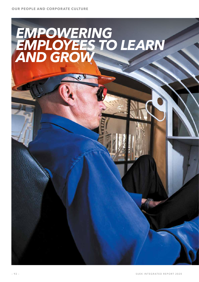# *EMPOWERING EMPLOYEES TO LEARN AND GROW*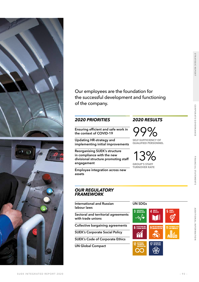



Our employees are the foundation for the successful development and functioning of the company.

#### *2020 PRIORITIES 2020 RESULTS*

**Ensuring efficient and safe work in the context of COVID-19**

**Updating HR-strategy and implementing initial improvements**

**Reorganising SUEK's structure in compliance with the new divisional structure promoting staff engagement**

**Employee integration across new assets**

#### *OUR REGULATORY FRAMEWORK*

**International and Russian labour laws**

**Sectoral and territorial agreements with trade unions**

**Collective bargaining agreements**

**SUEK's Corporate Social Policy**

**SUEK's Code of Corporate Ethics**

**UN Global Compact**

99% **SELF-SUFFICIENCY OF** 

**QUALIFIED PERSONNEL**

13% **GROUP'S STAFF TURNOVER RATE**

**UN SDGs**

3 GOOD HEALTH

-∿⁄∙

4 QUALITY

**17** PARTNERSHIPS

5 GENDER

CORPORATE GOVERNANCE

**STRATEGIC REPORT**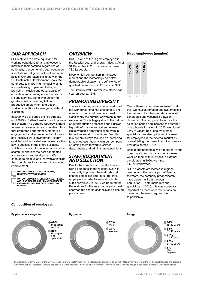#### *OUR APPROACH*

SUEK strives to create equal and fair working conditions for all employees to maximise their potential regardless of nationality, gender, origin, age, education, social status, religious, political and other beliefs. Our approach is aligned with the UN Sustainable Development Goals. We contribute to improving the quality of life and well-being of people of all ages, providing inclusive and equal quality of education and creating opportunities for lifelong learning, along with achieving gender equality, ensuring full and productive employment and decent working conditions for everyone, without exception.

In 2020, we developed the HR Strategy until 2023 to further transform and upgrade this system. The updated Strategy is more focused on developing a corporate culture that promotes performance, employee engagement and improvement and a safe and inclusive work environment. Highly qualified and motivated employees are the key to success of the entire business, which is why we introduce various tools to search for and hire the best candidates and support their development. We encourage creative and innovative thinking that contributes to a process of continuous improvement.

**[FOR OUR STANCE ON HUMAN RIGHTS,](http://www.suek.com)  [SEE HTTP://WWW.SUEK.COM](http://www.suek.com)**

**[FOR OUR UPDATED HR STRATEGY, SEE THE Q&A](#page--1-0)  [WITH OUR DIRECTOR OF HUMAN RESOURCES](#page--1-0)  [AND ORGANISATIONAL DEVELOPMENT ON](#page--1-0)  [PP. 60–61](#page--1-0)** 

#### *OVERVIEW*

SUEK is one of the largest employers in the Russian coal and energy industry. As of 31 December 2020, our headcount was 73,382 people.

Despite high competition in the labour market and the increasingly complex demographic situation, the sufficiency of qualified personnel in 2020 stood at 99%.

The Group's staff turnover rate stayed flat year-on-year at 13%.

### *PROMOTING DIVERSITY*

The socio-demographic characteristics of our workforce remained unchanged. The number of men continues to exceed significantly the number of women in our workforce. This is largely due to the nature of our production processes and Russian  $legislation<sup>1</sup>$  that deters and sometimes limits women's opportunities to work in hazardous working conditions. Despite this, we are always focused on increasing female representation within our company, attracting them to work in service departments and administrative positions.

#### *STAFF RECRUITMENT AND SELECTION*

Due to the complexity of production and hiring personnel in the regions, SUEK is constantly improving the methods and channels to select and recruit potential employees in order to maintain a high sufficiency level. In 2020, we updated the Regulations for the selection of personnel, analysed the search channels and selected priority ones.

#### **Hired employees (number)**



One of them is internal recruitment. To do this, we have automated and systematised the process of exchanging databases of candidates and vacancies between divisions of the company, to reduce the selection period and increase the number of applicants for a job. In 2020, we closed 33% of vacant positions by internal specialists. We also optimised the search for employees in the external market by consolidating the base of recruiting service providers across SUEK.

Despite the pandemic, we did not carry out mass layoffs and as vacancies appeared, we filled them with internal and external candidates. In 2020, we hired 14,079 employees.

SUEK's assets are located in regions remote from the central part of Russia, therefore, the company predominantly hires personnel from the local population — both managers and specialists. In 2020, this was especially important as there were restrictions on movement between regions due to pandemic.



<span id="page-2-0"></span>In accordance with the Order of the Ministry of Labour and Social Protection of the Russian Federation of 18 July 2019 No. 512n 'Approval of the list of industries, jobs and positions with harmful and/or hazardous working conditions, in which the use of women's labour is limited', women are not allowed to occupy a significant number of underground roles.

#### **Composition of employees**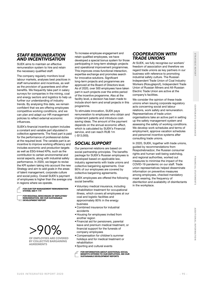#### *STAFF REMUNERATION AND INCENTIVISATION*

SUEK aims to maintain an effective remuneration system to hire and retain the necessary qualified staff.

The company regularly monitors local labour markets, analyses best practices in staff remuneration and incentives, as well as the provision of guarantees and other benefits. We frequently take part in salary surveys for companies in the mining, coal and energy sectors and logistics to help us further our understanding of industry trends. By analysing this data, we remain confident that we are offering employees competitive working conditions, and we can plan and adapt our HR management policies to reflect external economic influences.

SUEK's financial incentive system includes a constant and variable part stipulated in collective agreements. The fixed part is paid for the performance of professional duties at the required level. The variable part is an incentive to improve working efficiency and includes economic and production targets as well as ESG-linked KPIs, such as the contribution to certain environmental and social aspects, along with industrial safety performance. In 2020, we began to revise the KPI system taking into account the new Strategy and aim to add goals in the areas of talent management, corporate culture and social policy. Overall SUEK's payment of employees is higher than the average one in regions where we operate.

**[FOR OUR TOP MANAGEMENT REMUNERATION](#page--1-0)  [SYSTEM, SEE P. 119](#page--1-0)**

**[FOR REGIONAL BENCHMARK OF EMPLOYEES'](http://www.suek.com/investors/reporting/#year_19)  [REMUNERATION, SEE OUR SUSTAINABLE](http://www.suek.com/investors/reporting/#year_19)  [DEVELOPMENT REPORT](http://www.suek.com/investors/reporting/#year_19)**

>90% **OF EMPLOYEES ARE COVERED** 

**BY COLLECTIVE BARGAINING AGREEMENTS**

To increase employee engagement and retain qualified employees, we have developed a special bonus system for those participating in long-term strategic projects and operational improvement programmes. This improves cross-functional interaction, expertise exchange and promotes search for innovative solutions. Significant long-term projects and programmes are approved at the Board of Directors level. As of 2020, over 500 employees have taken part in such projects over the entire period of the incentive programme. Also at the facility level, a decision has been made to include short-term and small projects in this programme.

To stimulate innovation, SUEK pays remuneration to employees who obtain and implement patents and introduce costsaving ideas. The amount of the payment depends on the annual economic effect, which is calculated by SUEK's Financial service, and can reach RUB 1m  $(-\$13,000)$ .

### *SOCIAL SUPPORT*

Our personnel relations are based on social partnership principles. The benefits package for SUEK's Russian employees is developed based on applicable law, industry agreements with trade unions and collective bargaining agreements. Over 90% of our employees are covered by collective bargaining agreements.

SUEK employees are offered the following social benefits:

- Voluntary medical insurance, including rehabilitation treatment for occupational illness, which covers all employees at our coal and logistic facilities and approximately 80% in the energy business
- Combined insurance for industrial accidents
- Housing for employees invited from another region
- Financial aid for pensioners, parental leave and premium medical treatment, or financial support for the funerals of company employees
- Compensation for children's summer holidays and for medical treatment or rehabilitation
- Sporting and cultural events
- **[FOR INFORMATION ABOUT ADDITIONAL SOCIAL](http://www.suek.com/investors/reporting/#year_19)  [BENEFITS OFFERED TO OUR EMPLOYEES, SEE OUR](http://www.suek.com/investors/reporting/#year_19)  [SUSTAINABLE DEVELOPMENT REPORTS](http://www.suek.com/investors/reporting/#year_19)**

#### *COOPERATION WITH TRADE UNIONS*

At SUEK, we fully recognise our workers' freedom of association and therefore we regard trade unions as key partners in our business with reference to promoting industrial safety culture. The Russian Independent Trade Union of Coal Industry Workers (Rosugleprof), Independent Trade Union of Russian Miners and All-Russian Electric Trade Union are active at the company's facilities.

We consider the opinion of these trade unions when issuing corporate regulatory acts concerning social and labour relations, work safety and remuneration. Representatives of trade union organisations take an active part in setting up the safety management system and assessing the safety of working conditions. We develop work schedules and terms of employment, approve vacation schedules and personnel incentive systems after consulting trade unions.

In 2020, SUEK, together with trade unions, guided by recommendations from Rospotrebnadzor, the Russian consumer rights and human well-being watchdog, and regional authorities, worked out measures to minimise the impact of the COVID-19 pandemic on our staff. Trade union representatives helped disseminate information on preventive measures among employees, checked mandatory mask wearing, the frequency of disinfection and availability of disinfectants in the workplace.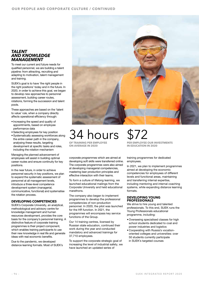#### *TALENT AND KNOWLEDGE MANAGEMENT*

To meet our current and future needs for qualified personnel, we are building a talent pipeline: from attracting, recruiting and adapting to motivation, talent management and training.

SUEK's goal is to have 'the right people in the right positions' today and in the future. In 2020, in order to achieve this goal, we began to develop new approaches to personnel assessment, building career routes, rotations, forming the succession and talent pools.

These approaches are based on the 'talent to value' rule, when a company directly affects operational efficiency through:

- Increasing the speed and quality of appointments, based on employee performance data
- Selecting employees for key position
- Systematically assessing workforces along the entire career path in the company, analysing these results, targeting development at specific tasks and roles, including the rotation mechanism

Managing the planned advancement of employees will assist in building optimal career routes and ensure continuity for key positions.

In the near future, in order to achieve personnel security in key positions, we plan to expand the systematic assessment of personnel at all management levels, introduce a three-level competence development system (managerial, communicative, functional) and systematise the rotation process.

#### **DEVELOPING COMPETENCIES**

SUEK's Corporate University, an analytical, methodological and advisory centre for knowledge management and human resources development, provides the core basis for the company's personnel training. A distinctive feature of corporate training programmes is their project component, which enables training participants to use their new knowledge in real life and generate ideas with real economic benefits.

Due to the pandemic, we developed distance learning formats. Most of SUEK's



## hours **OF TRAINING PER EMPLOYEE ON AVERAGE IN 2020**

corporate programmes which are aimed at developing soft skills were transferred online. The corporate programmes were also aimed at developing managerial competencies, mastering lean production principles and effective interaction with their teams.

To form a culture of lifelong learning, we launched educational mailings from the Corporate University and held educational marathons.

The company also began to implement programmes to develop the professional competencies of non-production personnel. In 2020, the pilot was launched for the HR function. In 2021, the programmes will encompass key service functions of the Group.

Our 14 training centres, licensed by Russian state education, continued their work during the year and conducted mandatory and advanced trainings for 37,710 employees.

To support the corporate strategic goal of increasing the level of industrial safety, we have launched an updated series of

# \$72 **PER EMPLOYEE OUR INVESTMENTS IN EDUCATION IN 2020**

training programmes for dedicated employees.

In 2021, we plan to implement programmes aimed at developing the economic competencies for employees of different levels and functional areas, maintaining and transferring internal expertise, including mentoring and internal coaching systems, while expanding distance learning formats.

#### **DEVELOPING YOUNG PROFESSIONALS**

We strive to hire young and talented professionals. To this end, SUEK runs the Young Professionals educational programme, including:

- Overseeing specialised classes for high school students dedicated to coal and power industries and logistics
- Сooperating with Russia's vocationoriented colleges and universities: over 50 students currently participate in SUEK's targeted courses